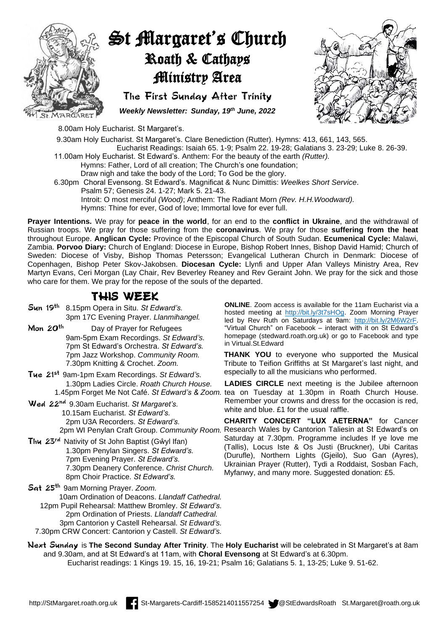

## St Margaret's Church Roath & Cathays Ministry Area

The First Sunday After Trinity *Weekly Newsletter: Sunday, 19 th June, 2022*



8.00am Holy Eucharist. St Margaret's.

9.30am Holy Eucharist. St Margaret's. Clare Benediction (Rutter). Hymns: 413, 661, 143, 565. Eucharist Readings: Isaiah 65. 1-9; Psalm 22. 19-28; Galatians 3. 23-29; Luke 8. 26-39. 11.00am Holy Eucharist. St Edward's. Anthem: For the beauty of the earth *(Rutter).* Hymns: Father, Lord of all creation; The Church's one foundation; Draw nigh and take the body of the Lord; To God be the glory. 6.30pm Choral Evensong. St Edward's. Magnificat & Nunc Dimittis: *Weelkes Short Service*. Psalm 57; Genesis 24. 1-27; Mark 5. 21-43. Introit: O most merciful *(Wood)*; Anthem: The Radiant Morn *(Rev. H.H.Woodward).*

Hymns: Thine for ever, God of love; Immortal love for ever full.

**Prayer Intentions.** We pray for **peace in the world**, for an end to the **conflict in Ukraine**, and the withdrawal of Russian troops. We pray for those suffering from the **coronavirus**. We pray for those **suffering from the heat** throughout Europe. **Anglican Cycle:** Province of the Episcopal Church of South Sudan. **Ecumenical Cycle:** Malawi, Zambia. **Porvoo Diary:** Church of England: Diocese in Europe, Bishop Robert Innes, Bishop David Hamid; Church of Sweden: Diocese of Visby, Bishop Thomas Petersson; Evangelical Lutheran Church in Denmark: Diocese of Copenhagen, Bishop Peter Skov-Jakobsen. **Diocesan Cycle:** Llynfi and Upper Afan Valleys Ministry Area, Rev Martyn Evans, Ceri Morgan (Lay Chair, Rev Beverley Reaney and Rev Geraint John. We pray for the sick and those who care for them. We pray for the repose of the souls of the departed.

## THIS WEEK

Sun 19th 8.15pm Opera in Situ. *St Edward's.* 3pm 17C Evening Prayer. *Llanmihangel.*

Mon  $20<sup>th</sup>$  Day of Prayer for Refugees 9am-5pm Exam Recordings. *St Edward's.* 7pm St Edward's Orchestra. *St Edward's.* 7pm Jazz Workshop. *Community Room.* 7.30pm Knitting & Crochet. *Zoom.*

Tue 21st 9am-1pm Exam Recordings. *St Edward's.* 1.30pm Ladies Circle. *Roath Church House.*

Wed 22<sup>nd</sup> 9.30am Eucharist. St Margaret's. 10.15am Eucharist. *St Edward's.* 2pm U3A Recorders. *St Edward's.*

Thu 23rd Nativity of St John Baptist (Gŵyl Ifan) 1.30pm Penylan Singers. *St Edward's.* 7pm Evening Prayer. *St Edward's.* 7.30pm Deanery Conference. *Christ Church.* 8pm Choir Practice. *St Edward's.*

Sat 25th 9am Morning Prayer. *Zoom.* 10am Ordination of Deacons. *Llandaff Cathedral.* 12pm Pupil Rehearsal: Matthew Bromley. *St Edward's.* 2pm Ordination of Priests. *Llandaff Cathedral.* 3pm Cantorion y Castell Rehearsal. *St Edward's.* 7.30pm CRW Concert: Cantorion y Castell. *St Edward's.*

**ONLINE**. Zoom access is available for the 11am Eucharist via a hosted meeting at [http://bit.ly/3t7sHOg.](http://bit.ly/3t7sHOg) Zoom Morning Prayer led by Rev Ruth on Saturdays at 9am: [http://bit.ly/2M6W2rF.](http://bit.ly/2M6W2rF) "Virtual Church" on Facebook – interact with it on St Edward's homepage (stedward.roath.org.uk) or go to Facebook and type in Virtual.St.Edward

**THANK YOU** to everyone who supported the Musical Tribute to Teifion Griffiths at St Margaret's last night, and especially to all the musicians who performed.

1.45pm Forget Me Not Café. *St Edward's & Zoom.* tea on Tuesday at 1.30pm in Roath Church House. **LADIES CIRCLE** next meeting is the Jubilee afternoon Remember your crowns and dress for the occasion is red, white and blue. £1 for the usual raffle.

2pm WI Penylan Craft Group. *Community Room.* Research Wales by Cantorion Taliesin at St Edward's on **CHARITY CONCERT "LUX AETERNA"** for Cancer Saturday at 7.30pm. Programme includes If ye love me (Tallis), Locus Iste & Os Justi (Bruckner), Ubi Caritas (Durufle), Northern Lights (Gjeilo), Suo Gan (Ayres), Ukrainian Prayer (Rutter), Tydi a Roddaist, Sosban Fach, Myfanwy, and many more. Suggested donation: £5.

Next Sunday is **The Second Sunday After Trinity**. The **Holy Eucharist** will be celebrated in St Margaret's at 8am and 9.30am, and at St Edward's at 11am, with **Choral Evensong** at St Edward's at 6.30pm. Eucharist readings: 1 Kings 19. 15, 16, 19-21; Psalm 16; Galatians 5. 1, 13-25; Luke 9. 51-62.

http://StMargaret.roath.org.uk **| St-Margarets-Cardiff-1585214011557254** @StEdwardsRoath St.Margaret@roath.org.uk